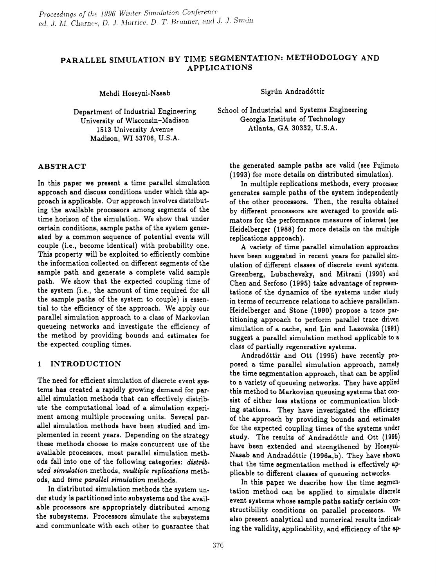# PARALLEL SIMULATION BY TIME SEGMENTATION: METHODOLOGY AND APPLICATIONS

Mehdi Hoseyni-Nasab

Department of Industrial Engineering University of Wisconsin-Madison 1513 University Avenue Madison, WI 53706, U.S.A.

## ABSTRACT

In this paper we present a time parallel simulation approach and discuss conditions under which this approach is applicable. Our approach involves distributing the available processors among segments of the time horizon of the simulation. We show that under certain conditions, sample paths of the system generated by a common sequence of potential events will couple (i.e., become identical) with probability one. This property will be exploited to efficiently combine the information collected on different segments of the sample path and generate a complete valid sample path. We show that the expected coupling time of the system (i.e., the amount of time required for all the sample paths of the system to couple) is essential to the efficiency of the approach. We apply our parallel simulation approach to a class of Markovian queueing networks and investigate the efficiency of the method by providing bounds and estimates for the expected coupling times.

#### 1 INTRODUCTION

The need for efficient simulation of discrete event systems has created a rapidly growing demand for parallel simulation methods that can effectively distribute the computational load of a simulation experiment among multiple processing units. Several parallel simulation methods have been studied and implemented in recent years. Depending on the strategy these methods choose to make concurrent use of the available processors, most parallel simulation methods fall into one of the following categories: distrib*uted* simulation methods, multiple replications methods, and *time parallel* ~imulation methods.

In distributed simulation methods the system under study is partitioned into subsystems and the available processors are appropriately distributed among the subsystems. Processors simulate the subsystems and communicate with each other to guarantee that Sigrún Andradóttir

School of Industrial and Systems Engineering Georgia Institute of Technology Atlanta, GA 30332, U.S.A.

the generated sample paths are valid (see Fujimoto (1993) for more details on distributed simulation).

In multiple replications methods, every processor generates sample paths of the system independently of the other processors. Then, the results obtained by different processors are averaged to provide estimators for the performance measures of interest (see Heidelberger (1988) for more details on the multiple replications approach).

A variety of time parallel simulation approaches have been suggested in recent years for parallel simulation of different classes of discrete event systems. Greenberg, Lubachevsky, and Mitrani (1990) and Chen and Serfozo (1995) take advantage of representations of the dynamics of the systems under study in terms of recurrence relations to achieve parallelism. Heidelberger and Stone (1990) propose a trace partitioning approach to perform parallel trace driven simulation of a cache, and Lin and Lazowska (1991) suggest a parallel simulation method applicable to a class of partially regenerative systems.

Andrad6ttir and Ott (1995) have recently proposed a, time parallel simulation approach, namely the time segmentation approach, that can be applied to a variety of queueing networks. They have applied this method to Markovian queueing systems that consist of either loss stations or communication blocking stations. They have investigated the efficiency of the approach by providing bounds and estimates for the expected coupling times of the systems under study. The results of Andradóttir and Ott (1995) have been extended and strengthened by Hoseyni-Nasab and Andrad6ttir (1996a,b). They have shown that the time segmentation method is effectively applicable to different classes of queueing networks.

In this paper we describe how the time segmentation method can be applied to simulate discrete event systems whose sample paths satisfy certain constructibility conditions on parallel processors. We also present analytical and numerical results indicating the validity, applicability, and efficiency of the ap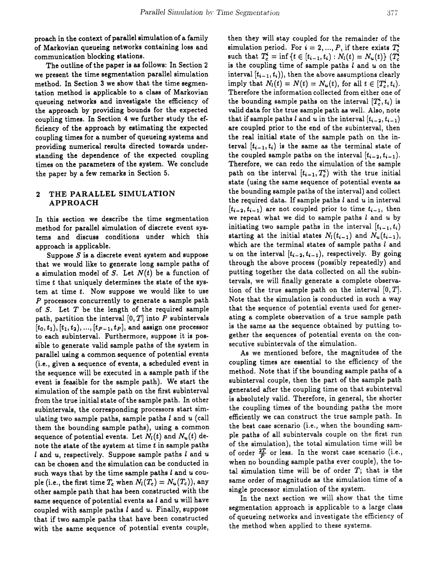proach in the context of parallel simulation of a family of Markovian queueing networks containing loss and communication blocking stations.

The outline of the paper is as follows: In Section 2 we present the time segmentation parallel simulation method. In Section 3 we show that the time segmentation method is applicable to a class of Markovian queueing networks and investigate the efficiency of the approach by providing bounds for the expected coupling times. In Section 4 we further study the efficiency of the approach by estimating the expected coupling times for a number of queueing systems and providing numerical results directed towards understanding the dependence of the expected coupling times on the parameters of the system. We conclude the paper by a few remarks in Section 5.

## 2 THE PARALLEL SIMULATION APPROACH

In this section we describe the time segmentation method for parallel simulation of discrete event systems and discuss conditions under which this approach is applicable.

Suppose  $S$  is a discrete event system and suppose that we would like to generate long sample paths of a simulation model of *S.* Let *N(t)* be a function of time *t* that uniquely determines the state of the system at time *t.* Now suppose we would like to use *P* processors concurrently to generate a sample path of *S.* Let *T* be the length of the required sample path, partition the interval [0, *T]* into P subintervals  $[t_0, t_1), [t_1, t_2), ..., [t_{P-1}, t_P],$  and assign one processor to each subinterval. Furthermore, suppose it is possible to generate valid sample paths of the system in parallel using a common sequence of potential events (i.e., given a sequence of events, a scheduled event in the sequence will be executed in a sample path if the event is feasible for the sample path). We start the simulation of the sample path on the first subinterval from the true initial state of the sample path. In other subintervals, the corresponding processors start simulating two sample paths, sample paths  $l$  and  $u$  (call them the bounding sample paths), using a common sequence of potential events. Let  $N_l(t)$  and  $N_u(t)$  denote the state of the system at time  $t$  in sample paths  $l$  and  $u$ , respectively. Suppose sample paths  $l$  and  $u$ can be chosen and the simulation can be conducted in such ways that by the time sample paths  $l$  and  $u$  couple (i.e., the first time  $T_c$  when  $N_l(T_c) = N_u(T_c)$ ), any other sample path that has been constructed with the same sequence of potential events as  $l$  and  $u$  will have coupled with sample paths  $l$  and  $u$ . Finally, suppose that if two sample paths that have been constructed with the same sequence of potential events couple, then they will stay coupled for the remainder of the simulation period. For  $i = 2, ..., P$ , if there exists  $T_c^i$ such that  $T_c^i = \inf \{ t \in [t_{i-1}, t_i) : N_l(t) = N_u(t) \}$  ( $T_c^i$ ) is the coupling time of sample paths  $l$  and  $u$  on the interval  $[t_{i-1}, t_i)$ , then the above assumptions clearly imply that  $N_l(t) = N(t) = N_u(t)$ , for all  $t \in [T_c^i, t_i]$ . Therefore the information collected from either one of the bounding sample paths on the interval  $[T_c^i, t_i]$  is valid data for the true sample path as well. Also, note that if sample paths *l* and *u* in the interval  $[t_{i-2}, t_{i-1})$ are coupled prior to the end of the subinterval, then the real initial state of the sample path on the interval  $[t_{i-1}, t_i)$  is the same as the terminal state of the coupled sample paths on the interval  $[t_{i-2}, t_{i-1})$ . Therefore, we can redo the simulation of the sample path on the interval  $[t_{i-1}, T_c^i)$  with the true initial state (using the same sequence of potential events as the bounding sample paths of the interval) and collect the required data. If sample paths  $l$  and  $u$  in interval  $[t_{i-2}, t_{i-1})$  are not coupled prior to time  $t_{i-1}$ , then we repeat what we did to sample paths *land* u by initiating two sample paths in the interval  $[t_{i-1}, t_i)$ starting at the initial states  $N_l(t_{i-1})$  and  $N_u(t_{i-1})$ , which are the terminal states of sample paths  $l$  and u on the interval  $[t_{i-2}, t_{i-1})$ , respectively. By going through the above process (possibly repeatedly) and putting together the data collected on all the subintervals, we will finally generate a complete observation of the true sample path on the interval  $[0, T]$ . Note that the simulation is conducted in such a way that the sequence of potential events used for generating a complete observation of a true sample path is the same as the sequence obtained by putting together the sequences of potential events on the consecutive subintervals of the simulation.

As we mentioned before, the magnitudes of the coupling times are essential to the efficiency of the method. Note that if the bounding sample paths of a subinterval couple, then the part of the sample path generated after the coupling time on that subinterval is absolutely valid. Therefore, in general, the shorter the coupling times of the bounding paths the more efficiently we can construct the true sample path. In the best case scenario (i.e., when the bounding sample paths of all subintervals couple on the first run of the simulation), the total simulation time will be of order  $\frac{2T}{P}$  or less. In the worst case scenario (i.e., when no bounding sample paths ever couple), the total simulation time will be of order  $T$ ; that is the same order of magnitude as the simulation time of a single processor simulation of the system.

In the next section we will show that the time segmentation approach is applicable to a large class of queueing networks and investigate the efficiency of the method when applied to these systems.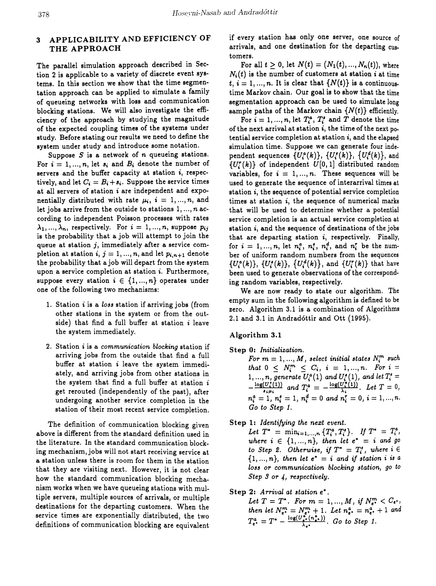# 3 APPLICABILITY AND EFFICIENCY OF THE APPROACH

The parallel simulation approach described in Section 2 is applicable to a variety of discrete event systems. In this section we show that the time segmentation approach can be applied to simulate a family of queueing networks with loss and communication blocking stations. We will also investigate the efficiency of the approach by studying the magnitude of the expected coupling times of the systems under study. Before stating our results we need to define the system under study and introduce some notation.

Suppose S is a network of *n* queueing stations. For  $i = 1, ..., n$ , let  $s_i$  and  $B_i$  denote the number of servers and the buffer capacity at station *i,* respectively, and let  $C_i = B_i + s_i$ . Suppose the service times at all servers of station *i* are independent and exponentially distributed with rate  $\mu_i$ ,  $i = 1, ..., n$ , and let jobs arrive from the outside to stations 1, ... , *n* according to independent Poisson processes with rates  $\lambda_1, ..., \lambda_n$ , respectively. For  $i = 1, ..., n$ , suppose  $p_{ij}$ is the probability that a job will attempt to join the queue at station  $j$ , immediately after a service completion at station  $i, j = 1, ..., n$ , and let  $p_{i, n+1}$  denote the probability that ajob will depart from the system upon a service completion at station i. Furthermore, suppose every station  $i \in \{1, ..., n\}$  operates under one of the following two mechanisms:

- 1. Station  $i$  is a loss station if arriving jobs (from other stations in the system or from the outside) that find a full buffer at station  $i$  leave the system immediately.
- 2. Station i is a *communication blocking* station if arriving jobs from the outside that find a full buffer at station *i* leave the system immediately, and arriving jobs from other stations in the system that find a full buffer at station  $i$ get rerouted (independently of the past), after undergoing another service completion in the station of their most recent service completion.

The definition of communication blocking given above is different from the standard definition used in the literature. In the standard communication blocking mechanism, jobs will not start receiving service at a station unless there is room for them in the station that they are visiting next. However, it is not clear how the standard communication blocking mechanism works when we have queueing stations with multiple servers, multiple sources of arrivals, or multiple destinations for the departing customers. When the service times are exponentially distributed, the two definitions of communication blocking are equivalent

if every station has only one server, one source of arrivals, and one destination for the departing customers.

For all  $t > 0$ , let  $N(t) = (N_1(t), ..., N_n(t))$ , where N,*(t)* is the number of customers at station *i* at time  $t, i = 1, ..., n$ . It is clear that  $\{N(t)\}\$ is a continuoustime Markov chain. Our goal is to show that the time segmentation approach can be used to simulate long sample paths of the Markov chain  $\{N(t)\}\$  efficiently.

For  $i = 1, ..., n$ , let  $T_i^a$ ,  $T_i^r$  and *T* denote the time of the next arrival at station *i,* the time of the next potential service completion at station  $i$ , and the elapsed simulation time. Suppose we can generate four independent sequences  $\{U_i^a(k)\}, \{U_i^a(k)\}, \{U_i^d(k)\}, \text{and}$ *{U[(k)}* of independent *U[O,* 1] distributed random variables, for  $i = 1, ..., n$ . These sequences will be used to generate the sequence of interarrival times at station i, the sequence of potential service completion times at station *i,* the sequence of numerical marks that will be used to determine whether a potential service completion is an actual service completion at station *i,* and the sequence of destinations of the jobs that are departing station  $i$ , respectively. Finally, for  $i = 1, ..., n$ , let  $n_i^a$ ,  $n_i^b$ ,  $n_i^d$ , and  $n_i^r$  be the number of uniform random numbers from the sequences  $\{U_i^a(k)\},\ \{U_i^a(k)\},\ \{U_i^a(k)\},\$  and  $\{U_i^r(k)\}$  that have been used to generate observations of the corresponding random variables, respectively.

We are now ready to state our algorithm. The empty sum in the following algorithm is defined to be zero. Algorithm 3.1 is a combination of Algorithms 2.1 and 3.1 in Andrad6ttir and Ott (1995).

#### Algorithm 3.1

- Step 0: *Initialization.*
	- $For \, m = 1, ..., M$ , select *initial* states  $N_i^m$  such *that*  $0 \leq N_i^m \leq C_i$ ,  $i = 1, ..., n$ . For  $i =$  $1,...,n$ , generate  $\overline{U_i^a(1)}$  and  $\overline{U_i^s(1)}$ , and let  $T_i^s =$  $\frac{1}{2} \frac{\log(U_s^*(1))}{U_s^*}$  and  $T_s^* = -\frac{\log(U_s^*(1))}{U_s^*}$ . Let  $T = 0$ ,  $\frac{1}{n_i^a} = \frac{1}{n_i^b}$  and  $T_i^a = \frac{1}{n_i^a} = \frac{1}{n_i^b}$ . Let  $I = 0$ ,  $n_i^a = 1$ ,  $n_i^a = 1$ ,  $n_i^a = 0$  and  $n_i^r = 0$ ,  $i = 1, ..., n$ . *Go to Step* 1.
- Step 1: *Identifying the nezt event.*

Let  $T^* = \min_{i=1,...,n} \{T_i^a, T_i^b\}.$  If  $T^* = T_i^a$ , *where*  $i \in \{1, ..., n\}$ , then let  $e^* = i$  and go *to* Step 2. Otherwise, if  $T^* = T_i^s$ , where  $i \in$  $\{1, ..., n\}$ , then let  $e^* = i$  and if station i is a *loss or communication blocking station, go to Step* 3 *or* 4, *respectively.*

#### Step 2: Arrival at *station*  $e^*$ .

*Let*  $T = T^*$ . For  $m = 1, ..., M$ , if  $N_{e^*}^m < C_{e^*}$ , *then let*  $N_{e^*}^m = N_{e^*}^m + 1$ . *Let*  $n_{e^*}^a = n_{e^*}^a + 1$  *and*  $T_{e^*}^a = T^* - \frac{\log(U_{e^*}^a(n_{e^*}^a))}{\lambda_e}$ . *Go to Step 1.*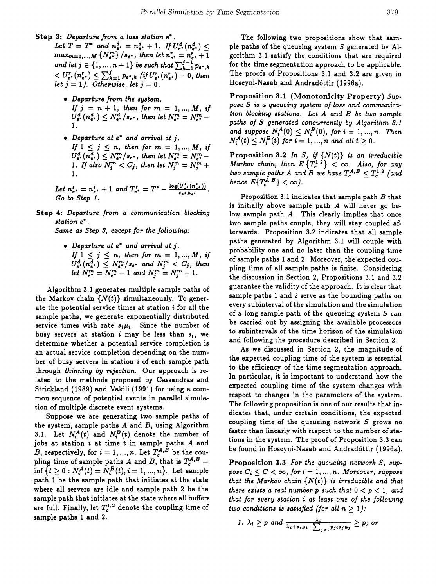- Step 3: Departure from a loss station e\*.
	- Let  $T = T^*$  and  $n_{e^*}^d = n_{e^*}^d + 1$ . If  $U_{e^*}^d(n_{e^*}^d)$  <  $\max_{m=1,...,M} \{N_{e^*}^m\} / s_{e^*}$ , then let  $n_{e^*}^r = n_{e^*}^r + 1$ and let  $j \in \{1, ..., n+1\}$  be such that  $\sum_{k=1}^{j-1} p_{e^*,k}$  $\langle U_{e^*}^r(n_{e^*}^r) \leq \sum_{k=1}^j p_{e^*,k} (if U_{e^*}^r(n_{e^*}^r) = 0, then$ let  $j = 1$ ). Otherwise, let  $j = 0$ .
		- Departure from the system. If  $j = n + 1$ , then for  $m = 1, ..., M$ , if  $U_{e^*}^d(n_{e^*}^d) \leq N_{e^*}^d/s_{e^*}$ , then let  $N_{e^*}^m = N_{e^*}^m$  -
		- Departure at  $e^*$  and arrival at j. If  $1 \leq j \leq n$ , then for  $m = 1, ..., M$ , if  $U_{e^*}^d(n_{e^*}^d) \subseteq N_{e^*}^m/s_{e^*}$ , then let  $N_{e^*}^m = N_{e^*}^m -$ <br>1. If also  $N_j^m < C_j$ , then let  $N_j^m = N_j^m +$

Let  $n_{e^*}^s = n_{e^*}^s + 1$  and  $T_{e^*}^s = T^* - \frac{\log(U_{e^*}^t(n_{e^*}^t))}{\log(U_{e^*}^t(n_{e^*}^s))}$ .<br>Go to Step 1.

Step 4: Departure from a communication blocking station e\*.

Same as Step 3, except for the following:

• Departure at  $e^*$  and arrival at j. If  $1 \leq j \leq n$ , then for  $m = 1, ..., M$ , if  $\label{eq:u_1} \begin{array}{l} U_{e}^{d},(n_{e^*}^d)\leq N_{e^*}^{m}/s_{e^*} \ \ \textit{and} \ \ N_{j}^{m}< C_j, \ \textit{then} \\ let \ N_{e^*}^{m}=N_{e^*}^{m}-1 \ \ \textit{and} \ \ N_{j}^{m}=N_{j}^{m}+1. \end{array}$ 

Algorithm 3.1 generates multiple sample paths of the Markov chain  $\{N(t)\}\$  simultaneously. To generate the potential service times at station *i* for all the sample paths, we generate exponentially distributed service times with rate  $s_i\mu_i$ . Since the number of busy servers at station *i* may be less than  $s_i$ , we determine whether a potential service completion is an actual service completion depending on the number of busy servers in station *i* of each sample path through thinning by rejection. Our approach is related to the methods proposed by Cassandras and Strickland (1989) and Vakili (1991) for using a common sequence of potential events in parallel simulation of multiple discrete event systems.

Suppose we are generating two sample paths of the system, sample paths  $A$  and  $B$ , using Algorithm 3.1. Let  $N_i^A(t)$  and  $N_i^B(t)$  denote the number of jobs at station  $i$  at time  $t$  in sample paths  $A$  and B, respectively, for  $i = 1, ..., n$ . Let  $T_c^{A,B}$  be the coupling time of sample paths A and B, that is  $T_c^{A,B}$  = inf  $\{t \ge 0 : N_i^A(t) = N_i^B(t), i = 1, ..., n\}$ . Let sample path 1 be the sample path that initiates at the state where all servers are idle and sample path 2 be the sample path that initiates at the state where all buffers are full. Finally, let  $T_c^{1,2}$  denote the coupling time of sample paths 1 and 2.

The following two propositions show that sample paths of the queueing system  $S$  generated by Algorithm 3.1 satisfy the conditions that are required for the time segmentation approach to be applicable. The proofs of Propositions 3.1 and 3.2 are given in Hoseyni-Nasab and Andradóttir (1996a).

Proposition 3.1 (Monotonicity Property) Suppose S is a queueing system of loss and communication blocking stations. Let A and B be two sample paths of S generated concurrently by Algorithm 3.1 and suppose  $N_i^A(0) \le N_i^B(0)$ , for  $i = 1, ..., n$ . Then  $N_i^A(t) \le N_i^B(t)$  for  $i = 1, ..., n$  and all  $t > 0$ .

Proposition 3.2 In S, if  $\{N(t)\}\$ is an irreducible Markov chain, then  $E\left\{T_c^{1,2}\right\} < \infty$ . Also, for any<br>two sample paths A and B we have  $T_c^{A,B} \leq T_c^{1,2}$  (and<br>hence  $E\{T_c^{A,B}\} < \infty$ ).

Proposition 3.1 indicates that sample path B that is initially above sample path  $A$  will never go below sample path A. This clearly implies that once two sample paths couple, they will stay coupled afterwards. Proposition 3.2 indicates that all sample paths generated by Algorithm 3.1 will couple with probability one and no later than the coupling time of sample paths 1 and 2. Moreover, the expected coupling time of all sample paths is finite. Considering the discussion in Section 2, Propositions 3.1 and 3.2 guarantee the validity of the approach. It is clear that sample paths 1 and 2 serve as the bounding paths on every subinterval of the simulation and the simulation of a long sample path of the queueing system  $S$  can be carried out by assigning the available processors to subintervals of the time horizon of the simulation and following the procedure described in Section 2.

As we discussed in Section 2, the magnitude of the expected coupling time of the system is essential to the efficiency of the time segmentation approach. In particular, it is important to understand how the expected coupling time of the system changes with respect to changes in the parameters of the system. The following proposition is one of our results that indicates that, under certain conditions, the expected coupling time of the queueing network  $S$  grows no faster than linearly with respect to the number of stations in the system. The proof of Proposition 3.3 can be found in Hoseyni-Nasab and Andradóttir (1996a).

**Proposition 3.3** For the queueing network  $S$ , suppose  $C_i \leq C < \infty$ , for  $i = 1, ..., n$ . Moreover, suppose that the Markov chain  $\{N(t)\}\;$  is irreducible and that there exists a real number p such that  $0 < p < 1$ , and that for every station i at least one of the following two conditions is satisfied (for all  $n \geq 1$ ):

1. 
$$
\lambda_i \geq p
$$
 and  $\frac{\lambda_i}{\lambda_i + s_i \mu_i + \sum_{j \neq i} p_{ji} s_j \mu_j} \geq p_j$  or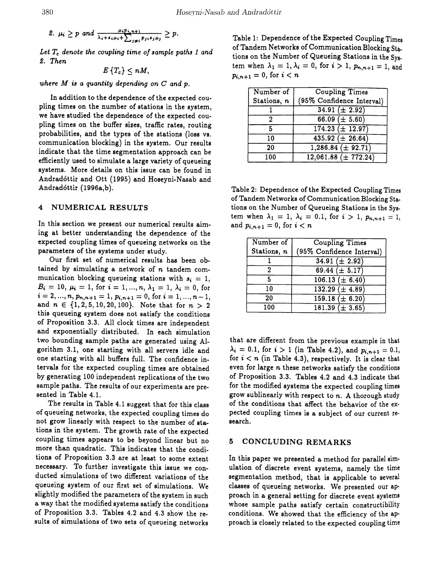2. 
$$
\mu_i \geq p
$$
 and  $\frac{\mu_i p_{i,n+1}}{\lambda_i + s_i \mu_i + \sum_{j \neq i} p_{j,i} s_j \mu_j} \geq p$ .

*Let Tc denote the coupling time of \$ample path\$* 1 *and* ~. *Then*

 $E\left\{T_c\right\} < nM$ ,

where  $M$  is a quantity depending on  $C$  and  $p$ .

In addition to the dependence of the expected coupling times on the number of stations in the system, we have studied the dependence of the expected coupling times on the buffer sizes, traffic rates, routing probabilities, and the types of the stations (loss vs. communication blocking) in the system. Our results indicate that the time segmentation approach can be efficiently used to simulate a large variety of queueing systems. More details on this issue can be found in Andradóttir and Ott (1995) and Hoseyni-Nasab and Andrad6ttir (1996a,b).

#### 4 NUMERICAL RESULTS

In this section we present our numerical results aiming at better understanding the dependence of the expected coupling times of queueing networks on the parameters of the systems under study.

Our first set of numerical results has been obtained by simulating a network of *n* tandem communication blocking queueing stations with  $s_i = 1$ ,  $B_i = 10, \mu_i = 1, \text{ for } i = 1, ..., n, \lambda_1 = 1, \lambda_i = 0, \text{ for }$  $i = 2, ..., n, p_{n,n+1} = 1, p_{i,n+1} = 0$ , for  $i = 1, ..., n-1$ , and  $n \in \{1, 2, 5, 10, 20, 100\}$ . Note that for  $n > 2$ this queueing system does not satisfy the conditions of Proposition 3.3. All clock times are independent and exponentially distributed. In each simulation two bounding sample paths are generated using Algorithm 3.1, one starting with all servers idle and one starting with all buffers full. The confidence intervals for the expected coupiing times are obtained by generating 100 independent replications of the two sample paths. The results of our experiments are presented in Table 4.1.

The results in Table 4.1 suggest that for this class of queueing networks, the expected coupling times do not grow linearly with respect to the number of stations in the system. The growth rate of the expected coupling times appears to be beyond linear but no more than quadratic. This indicates that the conditions of Proposition 3.3 are at least to some extent necessary. To further investigate this issue we conducted simulations of two different variations of the queueing system of our first set of simulations. We slightly modified the parameters of the system in such a way that the modified systems satisfy the conditions of Proposition 3.3. Tables 4.2 and 4.3 show the re.. sults of simulations of two sets of queueing networks

Table 1: Dependence of the Expected Coupling Times of Tandem Networks of Communication Blocking Stations on the Number of Queueing Stations in the System when  $\lambda_1 = 1, \lambda_i = 0$ , for  $i > 1$ ,  $p_{n,n+1} = 1$ , and  $p_{i,n+1} = 0$ , for  $i < n$ 

| Number of   | <b>Coupling Times</b>      |
|-------------|----------------------------|
| Stations, n | (95% Confidence Interval)  |
|             | $34.91 (\pm 2.92)$         |
|             | 66.09 $(\pm 5.60)$         |
| 5           | $174.23 (\pm 12.97)$       |
| 10          | $435.92 \ (\pm \ 26.64)$   |
| 20          | $1,286.84 \ (\pm \ 92.71)$ |
| 100         | $12,061.88 \ (\pm 772.24)$ |

Table 2: Dependence of the Expected Coupling Times of Tandem Networks of Communication Blocking Stations on the Number of Queueing Stations in the System when  $\lambda_1 = 1$ ,  $\lambda_i = 0.1$ , for  $i > 1$ ,  $p_{n,n+1} = 1$ , and  $p_{i,n+1} = 0$ , for  $i < n$ 

| Number of   | <b>Coupling Times</b>     |
|-------------|---------------------------|
| Stations, n | (95% Confidence Interval) |
|             | $34.91 (\pm 2.92)$        |
| 2           | 69.44 $(\pm 5.17)$        |
| 5           | $106.13 \ (\pm 6.40)$     |
| 10          | $132.29 \ (\pm 4.89)$     |
| 20          | $159.18 (\pm 6.20)$       |
| 100         | $181.39 \ (\pm 3.65)$     |

that are different from the previous example in that  $\lambda_i = 0.1$ , for  $i > 1$  (in Table 4.2), and  $p_{i,n+1} = 0.1$ , for  $i < n$  (in Table 4.3), respectively. It is clear that even for large *n* these networks satisfy the conditions of Proposition 3.3. Tables 4.2 and 4.3 indicate that for the modified systems the expected coupling times grow sublinearly with respect to *n.* A thorough study of the conditions that affect the behavior of the expected coupling times is a subject of our current research.

#### 5 CONCLUDING REMARKS

In this paper we presented a method for parallel simulation of discrete event systems, namely the time segmentation method, that is applicable to several classes of queueing networks. We presented our approach in a general setting for discrete event systems whose sample paths satisfy certain constructibility conditions. We showed that the efficiency of the approach is closely related to the expected coupling time